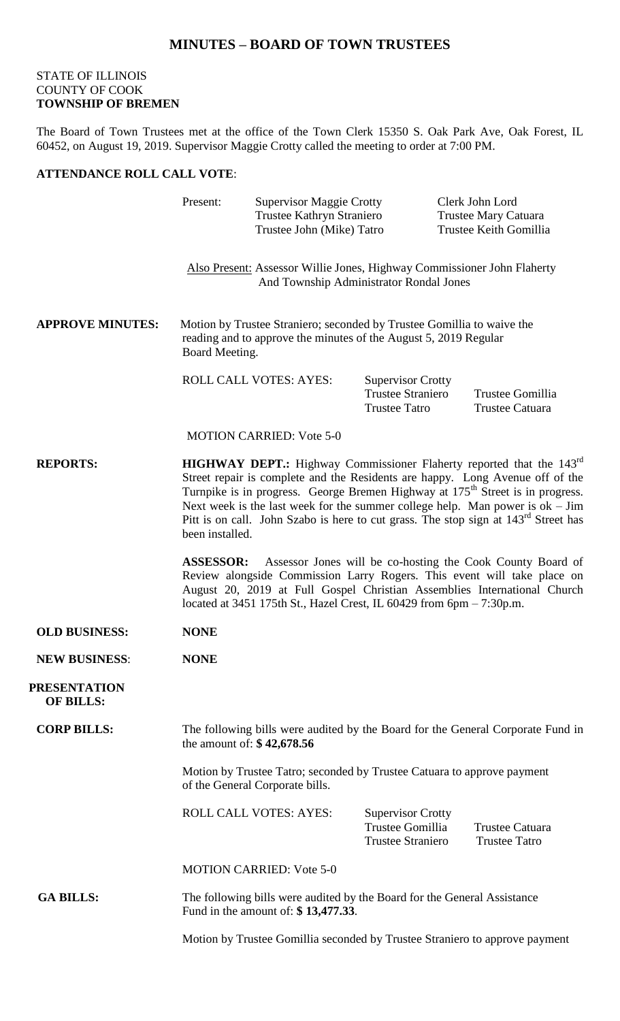## **MINUTES – BOARD OF TOWN TRUSTEES**

## STATE OF ILLINOIS COUNTY OF COOK **TOWNSHIP OF BREMEN**

The Board of Town Trustees met at the office of the Town Clerk 15350 S. Oak Park Ave, Oak Forest, IL 60452, on August 19, 2019. Supervisor Maggie Crotty called the meeting to order at 7:00 PM.

## **ATTENDANCE ROLL CALL VOTE**:

|                                         | Present:                                                                                                                                                                                                                                                                                                                                                                                                                                                              | <b>Supervisor Maggie Crotty</b><br>Trustee Kathryn Straniero<br>Trustee John (Mike) Tatro |                                                                              | Clerk John Lord<br>Trustee Mary Catuara<br>Trustee Keith Gomillia |
|-----------------------------------------|-----------------------------------------------------------------------------------------------------------------------------------------------------------------------------------------------------------------------------------------------------------------------------------------------------------------------------------------------------------------------------------------------------------------------------------------------------------------------|-------------------------------------------------------------------------------------------|------------------------------------------------------------------------------|-------------------------------------------------------------------|
|                                         | Also Present: Assessor Willie Jones, Highway Commissioner John Flaherty<br>And Township Administrator Rondal Jones                                                                                                                                                                                                                                                                                                                                                    |                                                                                           |                                                                              |                                                                   |
| <b>APPROVE MINUTES:</b>                 | Motion by Trustee Straniero; seconded by Trustee Gomillia to waive the<br>reading and to approve the minutes of the August 5, 2019 Regular<br>Board Meeting.                                                                                                                                                                                                                                                                                                          |                                                                                           |                                                                              |                                                                   |
|                                         |                                                                                                                                                                                                                                                                                                                                                                                                                                                                       | <b>ROLL CALL VOTES: AYES:</b>                                                             | <b>Supervisor Crotty</b><br><b>Trustee Straniero</b><br><b>Trustee Tatro</b> | Trustee Gomillia<br><b>Trustee Catuara</b>                        |
|                                         |                                                                                                                                                                                                                                                                                                                                                                                                                                                                       | <b>MOTION CARRIED: Vote 5-0</b>                                                           |                                                                              |                                                                   |
| <b>REPORTS:</b>                         | <b>HIGHWAY DEPT.:</b> Highway Commissioner Flaherty reported that the 143 <sup>rd</sup><br>Street repair is complete and the Residents are happy. Long Avenue off of the<br>Turnpike is in progress. George Bremen Highway at 175 <sup>th</sup> Street is in progress.<br>Next week is the last week for the summer college help. Man power is $ok - Jim$<br>Pitt is on call. John Szabo is here to cut grass. The stop sign at $143rd$ Street has<br>been installed. |                                                                                           |                                                                              |                                                                   |
|                                         | <b>ASSESSOR:</b><br>Assessor Jones will be co-hosting the Cook County Board of<br>Review alongside Commission Larry Rogers. This event will take place on<br>August 20, 2019 at Full Gospel Christian Assemblies International Church<br>located at 3451 175th St., Hazel Crest, IL 60429 from 6pm - 7:30p.m.                                                                                                                                                         |                                                                                           |                                                                              |                                                                   |
| <b>OLD BUSINESS:</b>                    | <b>NONE</b>                                                                                                                                                                                                                                                                                                                                                                                                                                                           |                                                                                           |                                                                              |                                                                   |
| <b>NEW BUSINESS:</b>                    | <b>NONE</b>                                                                                                                                                                                                                                                                                                                                                                                                                                                           |                                                                                           |                                                                              |                                                                   |
| <b>PRESENTATION</b><br><b>OF BILLS:</b> |                                                                                                                                                                                                                                                                                                                                                                                                                                                                       |                                                                                           |                                                                              |                                                                   |
| <b>CORP BILLS:</b>                      | The following bills were audited by the Board for the General Corporate Fund in<br>the amount of: $$42,678.56$                                                                                                                                                                                                                                                                                                                                                        |                                                                                           |                                                                              |                                                                   |
|                                         | Motion by Trustee Tatro; seconded by Trustee Catuara to approve payment<br>of the General Corporate bills.                                                                                                                                                                                                                                                                                                                                                            |                                                                                           |                                                                              |                                                                   |
|                                         |                                                                                                                                                                                                                                                                                                                                                                                                                                                                       | <b>ROLL CALL VOTES: AYES:</b>                                                             | <b>Supervisor Crotty</b><br>Trustee Gomillia<br><b>Trustee Straniero</b>     | Trustee Catuara<br><b>Trustee Tatro</b>                           |
|                                         | <b>MOTION CARRIED: Vote 5-0</b>                                                                                                                                                                                                                                                                                                                                                                                                                                       |                                                                                           |                                                                              |                                                                   |
| <b>GA BILLS:</b>                        | The following bills were audited by the Board for the General Assistance<br>Fund in the amount of: \$13,477.33.                                                                                                                                                                                                                                                                                                                                                       |                                                                                           |                                                                              |                                                                   |
|                                         | Motion by Trustee Gomillia seconded by Trustee Straniero to approve payment                                                                                                                                                                                                                                                                                                                                                                                           |                                                                                           |                                                                              |                                                                   |